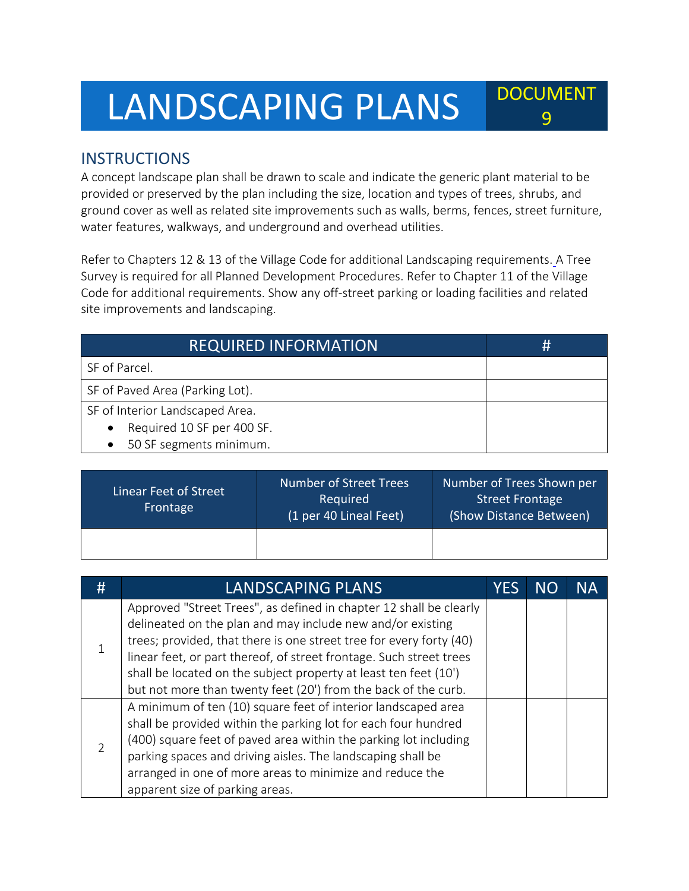## LANDSCAPING PLANS POCUMENT

## **INSTRUCTIONS**

A concept landscape plan shall be drawn to scale and indicate the generic plant material to be provided or preserved by the plan including the size, location and types of trees, shrubs, and ground cover as well as related site improvements such as walls, berms, fences, street furniture, water features, walkways, and underground and overhead utilities.

9

Refer to Chapters 12 & 13 of the Village Code for additional Landscaping requirements. A Tree Survey is required for all Planned Development Procedures. Refer to Chapter 11 of the Village Code for additional requirements. Show any off-street parking or loading facilities and related site improvements and landscaping.

| <b>REQUIRED INFORMATION</b>             | # |
|-----------------------------------------|---|
| SF of Parcel.                           |   |
| SF of Paved Area (Parking Lot).         |   |
| SF of Interior Landscaped Area.         |   |
| Required 10 SF per 400 SF.<br>$\bullet$ |   |
| 50 SF segments minimum.<br>$\bullet$    |   |

| Linear Feet of Street<br>Frontage | Number of Street Trees<br>Required<br>(1 per 40 Lineal Feet) | Number of Trees Shown per<br><b>Street Frontage</b><br>(Show Distance Between) |
|-----------------------------------|--------------------------------------------------------------|--------------------------------------------------------------------------------|
|                                   |                                                              |                                                                                |

| # | <b>LANDSCAPING PLANS</b>                                                                                                                                                                                                                                                                                                                                                                                             | YES | NC | NА |
|---|----------------------------------------------------------------------------------------------------------------------------------------------------------------------------------------------------------------------------------------------------------------------------------------------------------------------------------------------------------------------------------------------------------------------|-----|----|----|
|   | Approved "Street Trees", as defined in chapter 12 shall be clearly<br>delineated on the plan and may include new and/or existing<br>trees; provided, that there is one street tree for every forty (40)<br>linear feet, or part thereof, of street frontage. Such street trees<br>shall be located on the subject property at least ten feet (10')<br>but not more than twenty feet (20') from the back of the curb. |     |    |    |
|   | A minimum of ten (10) square feet of interior landscaped area<br>shall be provided within the parking lot for each four hundred<br>(400) square feet of paved area within the parking lot including<br>parking spaces and driving aisles. The landscaping shall be<br>arranged in one of more areas to minimize and reduce the<br>apparent size of parking areas.                                                    |     |    |    |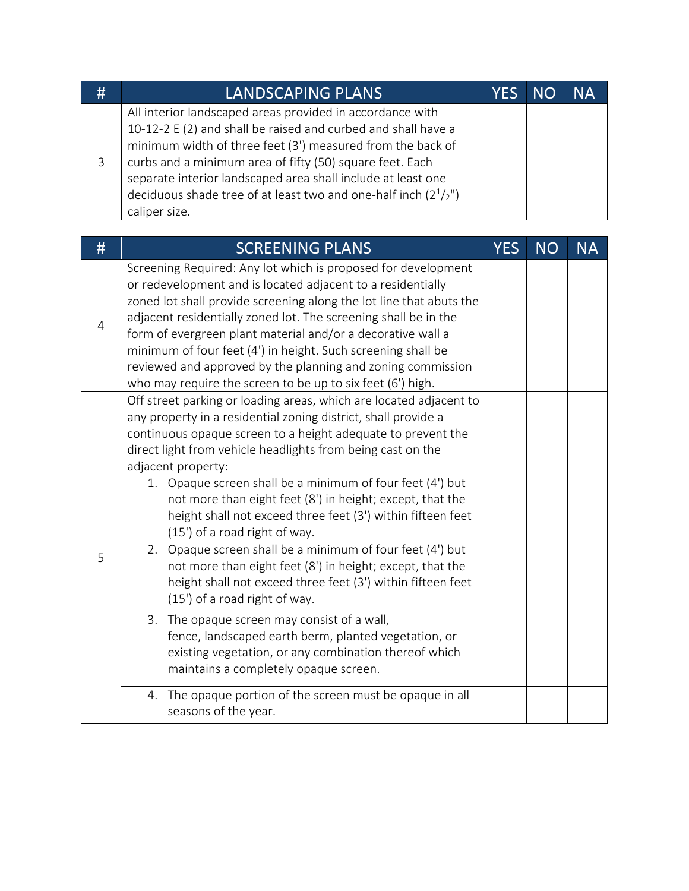| # | LANDSCAPING PLANS                                                                                                                                                                                                                                                                                                                                                                                          | <b>YES</b> | <b>NO</b> | NА |
|---|------------------------------------------------------------------------------------------------------------------------------------------------------------------------------------------------------------------------------------------------------------------------------------------------------------------------------------------------------------------------------------------------------------|------------|-----------|----|
| 3 | All interior landscaped areas provided in accordance with<br>10-12-2 E (2) and shall be raised and curbed and shall have a<br>minimum width of three feet (3') measured from the back of<br>curbs and a minimum area of fifty (50) square feet. Each<br>separate interior landscaped area shall include at least one<br>deciduous shade tree of at least two and one-half inch $(21/2'')$<br>caliper size. |            |           |    |

| #              | <b>SCREENING PLANS</b>                                                                                                                                                                                                                                                                                                                                                                                                                                                                                                             | <b>YES</b> | <b>NO</b> | <b>NA</b> |
|----------------|------------------------------------------------------------------------------------------------------------------------------------------------------------------------------------------------------------------------------------------------------------------------------------------------------------------------------------------------------------------------------------------------------------------------------------------------------------------------------------------------------------------------------------|------------|-----------|-----------|
| $\overline{4}$ | Screening Required: Any lot which is proposed for development<br>or redevelopment and is located adjacent to a residentially<br>zoned lot shall provide screening along the lot line that abuts the<br>adjacent residentially zoned lot. The screening shall be in the<br>form of evergreen plant material and/or a decorative wall a<br>minimum of four feet (4') in height. Such screening shall be<br>reviewed and approved by the planning and zoning commission<br>who may require the screen to be up to six feet (6') high. |            |           |           |
| 5              | Off street parking or loading areas, which are located adjacent to<br>any property in a residential zoning district, shall provide a<br>continuous opaque screen to a height adequate to prevent the<br>direct light from vehicle headlights from being cast on the<br>adjacent property:<br>1. Opaque screen shall be a minimum of four feet (4') but<br>not more than eight feet (8') in height; except, that the<br>height shall not exceed three feet (3') within fifteen feet<br>(15') of a road right of way.                |            |           |           |
|                | 2. Opaque screen shall be a minimum of four feet (4') but<br>not more than eight feet (8') in height; except, that the<br>height shall not exceed three feet (3') within fifteen feet<br>(15') of a road right of way.                                                                                                                                                                                                                                                                                                             |            |           |           |
|                | The opaque screen may consist of a wall,<br>3.<br>fence, landscaped earth berm, planted vegetation, or<br>existing vegetation, or any combination thereof which<br>maintains a completely opaque screen.                                                                                                                                                                                                                                                                                                                           |            |           |           |
|                | The opaque portion of the screen must be opaque in all<br>4.<br>seasons of the year.                                                                                                                                                                                                                                                                                                                                                                                                                                               |            |           |           |